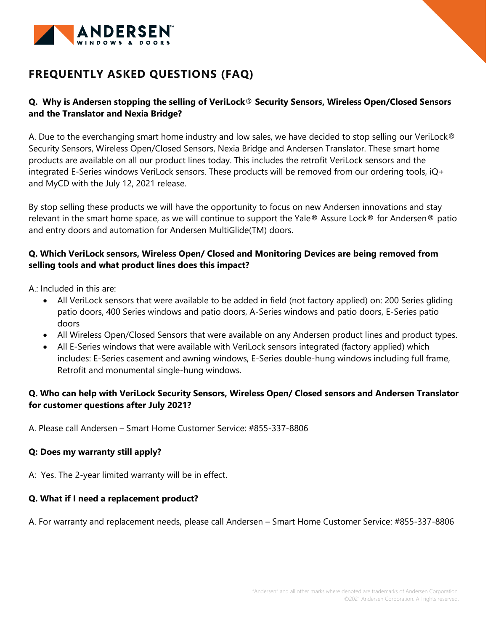

# **FREQUENTLY ASKED QUESTIONS (FAQ)**

# **Q. Why is Andersen stopping the selling of VeriLock**® **Security Sensors, Wireless Open/Closed Sensors and the Translator and Nexia Bridge?**

A. Due to the everchanging smart home industry and low sales, we have decided to stop selling our VeriLock® Security Sensors, Wireless Open/Closed Sensors, Nexia Bridge and Andersen Translator. These smart home products are available on all our product lines today. This includes the retrofit VeriLock sensors and the integrated E-Series windows VeriLock sensors. These products will be removed from our ordering tools, iQ+ and MyCD with the July 12, 2021 release.

By stop selling these products we will have the opportunity to focus on new Andersen innovations and stay relevant in the smart home space, as we will continue to support the Yale® Assure Lock® for Andersen® patio and entry doors and automation for Andersen MultiGlide(TM) doors.

# **Q. Which VeriLock sensors, Wireless Open/ Closed and Monitoring Devices are being removed from selling tools and what product lines does this impact?**

A.: Included in this are:

- All VeriLock sensors that were available to be added in field (not factory applied) on: 200 Series gliding patio doors, 400 Series windows and patio doors, A-Series windows and patio doors, E-Series patio doors
- All Wireless Open/Closed Sensors that were available on any Andersen product lines and product types.
- All E-Series windows that were available with VeriLock sensors integrated (factory applied) which includes: E-Series casement and awning windows, E-Series double-hung windows including full frame, Retrofit and monumental single-hung windows.

# **Q. Who can help with VeriLock Security Sensors, Wireless Open/ Closed sensors and Andersen Translator for customer questions after July 2021?**

A. Please call Andersen – Smart Home Customer Service: #855-337-8806

# **Q: Does my warranty still apply?**

A: Yes. The 2-year limited warranty will be in effect.

## **Q. What if I need a replacement product?**

A. For warranty and replacement needs, please call Andersen – Smart Home Customer Service: #855-337-8806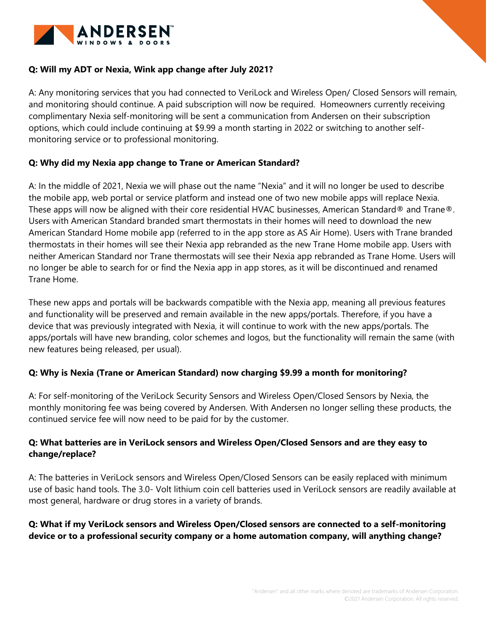

## **Q: Will my ADT or Nexia, Wink app change after July 2021?**

A: Any monitoring services that you had connected to VeriLock and Wireless Open/ Closed Sensors will remain, and monitoring should continue. A paid subscription will now be required. Homeowners currently receiving complimentary Nexia self-monitoring will be sent a communication from Andersen on their subscription options, which could include continuing at \$9.99 a month starting in 2022 or switching to another selfmonitoring service or to professional monitoring.

## **Q: Why did my Nexia app change to Trane or American Standard?**

A: In the middle of 2021, Nexia we will phase out the name "Nexia" and it will no longer be used to describe the mobile app, web portal or service platform and instead one of two new mobile apps will replace Nexia. These apps will now be aligned with their core residential HVAC businesses, American Standard® and Trane®. Users with American Standard branded smart thermostats in their homes will need to download the new American Standard Home mobile app (referred to in the app store as AS Air Home). Users with Trane branded thermostats in their homes will see their Nexia app rebranded as the new Trane Home mobile app. Users with neither American Standard nor Trane thermostats will see their Nexia app rebranded as Trane Home. Users will no longer be able to search for or find the Nexia app in app stores, as it will be discontinued and renamed Trane Home.

These new apps and portals will be backwards compatible with the Nexia app, meaning all previous features and functionality will be preserved and remain available in the new apps/portals. Therefore, if you have a device that was previously integrated with Nexia, it will continue to work with the new apps/portals. The apps/portals will have new branding, color schemes and logos, but the functionality will remain the same (with new features being released, per usual).

## **Q: Why is Nexia (Trane or American Standard) now charging \$9.99 a month for monitoring?**

A: For self-monitoring of the VeriLock Security Sensors and Wireless Open/Closed Sensors by Nexia, the monthly monitoring fee was being covered by Andersen. With Andersen no longer selling these products, the continued service fee will now need to be paid for by the customer.

# **Q: What batteries are in VeriLock sensors and Wireless Open/Closed Sensors and are they easy to change/replace?**

A: The batteries in VeriLock sensors and Wireless Open/Closed Sensors can be easily replaced with minimum use of basic hand tools. The 3.0- Volt lithium coin cell batteries used in VeriLock sensors are readily available at most general, hardware or drug stores in a variety of brands.

# **Q: What if my VeriLock sensors and Wireless Open/Closed sensors are connected to a self-monitoring device or to a professional security company or a home automation company, will anything change?**